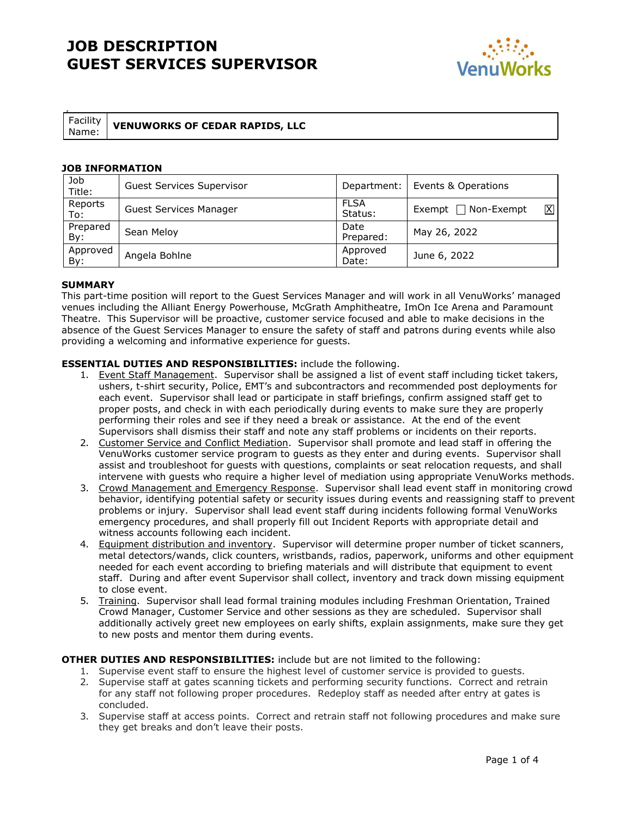

| Facility |
|----------|
| M I      |

### **Name: VENUWORKS OF CEDAR RAPIDS, LLC**

#### **JOB INFORMATION**

| Job<br>Title:   | Guest Services Supervisor     | Department:            | Events & Operations                          |
|-----------------|-------------------------------|------------------------|----------------------------------------------|
| Reports<br>To:  | <b>Guest Services Manager</b> | <b>FLSA</b><br>Status: | $\boxtimes$<br>$\sqcap$ Non-Exempt<br>Exempt |
| Prepared<br>By: | Sean Meloy                    | Date<br>Prepared:      | May 26, 2022                                 |
| Approved<br>By: | Angela Bohlne                 | Approved<br>Date:      | June 6, 2022                                 |

#### **SUMMARY**

This part-time position will report to the Guest Services Manager and will work in all VenuWorks' managed venues including the Alliant Energy Powerhouse, McGrath Amphitheatre, ImOn Ice Arena and Paramount Theatre. This Supervisor will be proactive, customer service focused and able to make decisions in the absence of the Guest Services Manager to ensure the safety of staff and patrons during events while also providing a welcoming and informative experience for guests.

#### **ESSENTIAL DUTIES AND RESPONSIBILITIES:** include the following.

- 1. Event Staff Management. Supervisor shall be assigned a list of event staff including ticket takers, ushers, t-shirt security, Police, EMT's and subcontractors and recommended post deployments for each event. Supervisor shall lead or participate in staff briefings, confirm assigned staff get to proper posts, and check in with each periodically during events to make sure they are properly performing their roles and see if they need a break or assistance. At the end of the event Supervisors shall dismiss their staff and note any staff problems or incidents on their reports.
- 2. Customer Service and Conflict Mediation. Supervisor shall promote and lead staff in offering the VenuWorks customer service program to guests as they enter and during events. Supervisor shall assist and troubleshoot for guests with questions, complaints or seat relocation requests, and shall intervene with guests who require a higher level of mediation using appropriate VenuWorks methods.
- 3. Crowd Management and Emergency Response. Supervisor shall lead event staff in monitoring crowd behavior, identifying potential safety or security issues during events and reassigning staff to prevent problems or injury. Supervisor shall lead event staff during incidents following formal VenuWorks emergency procedures, and shall properly fill out Incident Reports with appropriate detail and witness accounts following each incident.
- 4. Equipment distribution and inventory. Supervisor will determine proper number of ticket scanners, metal detectors/wands, click counters, wristbands, radios, paperwork, uniforms and other equipment needed for each event according to briefing materials and will distribute that equipment to event staff. During and after event Supervisor shall collect, inventory and track down missing equipment to close event.
- 5. Training. Supervisor shall lead formal training modules including Freshman Orientation, Trained Crowd Manager, Customer Service and other sessions as they are scheduled. Supervisor shall additionally actively greet new employees on early shifts, explain assignments, make sure they get to new posts and mentor them during events.

#### **OTHER DUTIES AND RESPONSIBILITIES:** include but are not limited to the following:

- 1. Supervise event staff to ensure the highest level of customer service is provided to guests.
- 2. Supervise staff at gates scanning tickets and performing security functions. Correct and retrain for any staff not following proper procedures. Redeploy staff as needed after entry at gates is concluded.
- 3. Supervise staff at access points. Correct and retrain staff not following procedures and make sure they get breaks and don't leave their posts.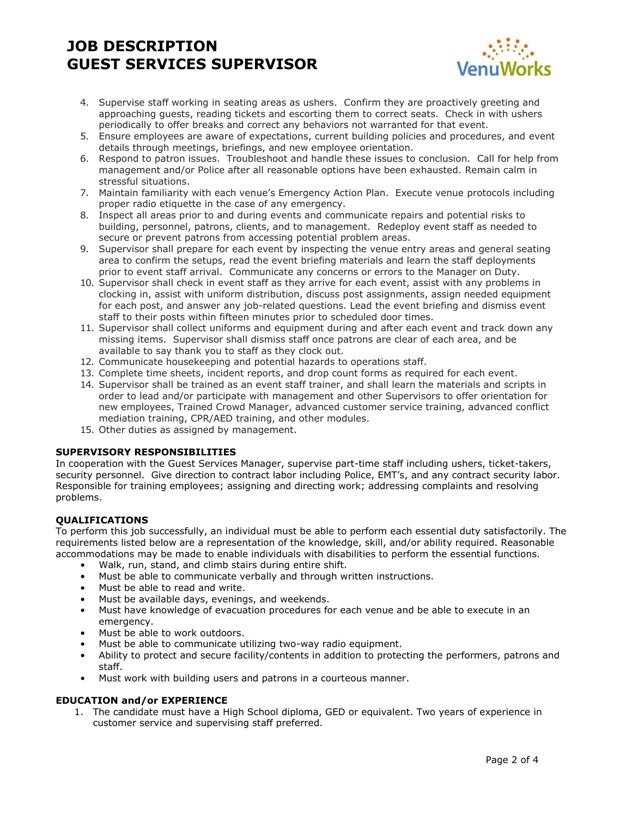

- 4. Supervise staff working in seating areas as ushers. Confirm they are proactively greeting and approaching guests, reading tickets and escorting them to correct seats. Check in with ushers periodically to offer breaks and correct any behaviors not warranted for that event.
- 5. Ensure employees are aware of expectations, current building policies and procedures, and event details through meetings, briefings, and new employee orientation.
- 6. Respond to patron issues. Troubleshoot and handle these issues to conclusion. Call for help from management and/or Police after all reasonable options have been exhausted. Remain calm in stressful situations.
- 7. Maintain familiarity with each venue's Emergency Action Plan. Execute venue protocols including proper radio etiquette in the case of any emergency.
- 8. Inspect all areas prior to and during events and communicate repairs and potential risks to building, personnel, patrons, clients, and to management. Redeploy event staff as needed to secure or prevent patrons from accessing potential problem areas.
- 9. Supervisor shall prepare for each event by inspecting the venue entry areas and general seating area to confirm the setups, read the event briefing materials and learn the staff deployments prior to event staff arrival. Communicate any concerns or errors to the Manager on Duty.
- 10. Supervisor shall check in event staff as they arrive for each event, assist with any problems in clocking in, assist with uniform distribution, discuss post assignments, assign needed equipment for each post, and answer any job-related questions. Lead the event briefing and dismiss event staff to their posts within fifteen minutes prior to scheduled door times.
- 11. Supervisor shall collect uniforms and equipment during and after each event and track down any missing items. Supervisor shall dismiss staff once patrons are clear of each area, and be available to say thank you to staff as they clock out.
- 12. Communicate housekeeping and potential hazards to operations staff.
- 13. Complete time sheets, incident reports, and drop count forms as required for each event.
- 14. Supervisor shall be trained as an event staff trainer, and shall learn the materials and scripts in order to lead and/or participate with management and other Supervisors to offer orientation for new employees, Trained Crowd Manager, advanced customer service training, advanced conflict mediation training, CPR/AED training, and other modules.
- 15. Other duties as assigned by management.

#### **SUPERVISORY RESPONSIBILITIES**

In cooperation with the Guest Services Manager, supervise part-time staff including ushers, ticket-takers, security personnel. Give direction to contract labor including Police, EMT's, and any contract security labor. Responsible for training employees; assigning and directing work; addressing complaints and resolving problems.

### **QUALIFICATIONS**

To perform this job successfully, an individual must be able to perform each essential duty satisfactorily. The requirements listed below are a representation of the knowledge, skill, and/or ability required. Reasonable accommodations may be made to enable individuals with disabilities to perform the essential functions.

- Walk, run, stand, and climb stairs during entire shift.
- Must be able to communicate verbally and through written instructions.
- Must be able to read and write.
- Must be available days, evenings, and weekends.
- Must have knowledge of evacuation procedures for each venue and be able to execute in an emergency.
- Must be able to work outdoors.
- Must be able to communicate utilizing two-way radio equipment.
- Ability to protect and secure facility/contents in addition to protecting the performers, patrons and staff.
- Must work with building users and patrons in a courteous manner.

#### **EDUCATION and/or EXPERIENCE**

1. The candidate must have a High School diploma, GED or equivalent. Two years of experience in customer service and supervising staff preferred.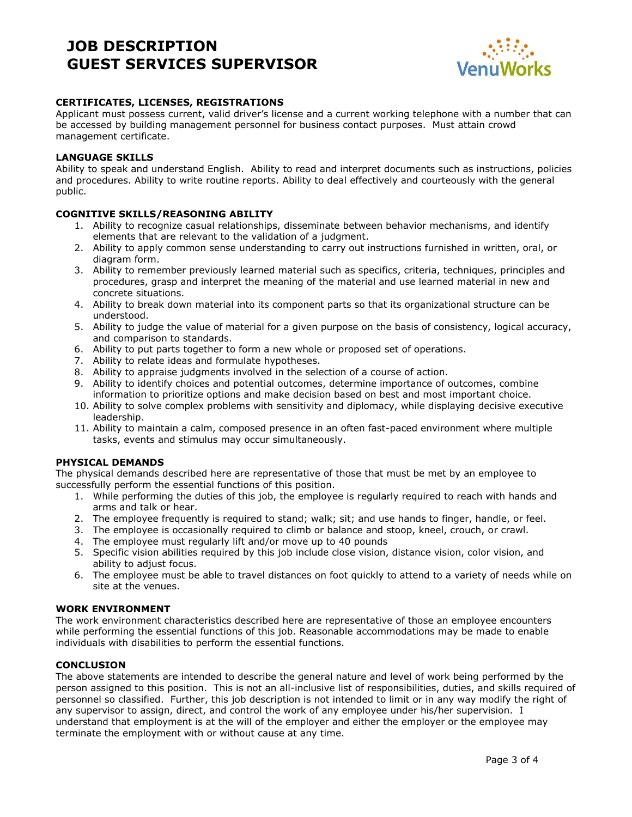

### **CERTIFICATES, LICENSES, REGISTRATIONS**

Applicant must possess current, valid driver's license and a current working telephone with a number that can be accessed by building management personnel for business contact purposes. Must attain crowd management certificate.

#### **LANGUAGE SKILLS**

Ability to speak and understand English. Ability to read and interpret documents such as instructions, policies and procedures. Ability to write routine reports. Ability to deal effectively and courteously with the general public.

#### **COGNITIVE SKILLS/REASONING ABILITY**

- 1. Ability to recognize casual relationships, disseminate between behavior mechanisms, and identify elements that are relevant to the validation of a judgment.
- 2. Ability to apply common sense understanding to carry out instructions furnished in written, oral, or diagram form.
- 3. Ability to remember previously learned material such as specifics, criteria, techniques, principles and procedures, grasp and interpret the meaning of the material and use learned material in new and concrete situations.
- 4. Ability to break down material into its component parts so that its organizational structure can be understood.
- 5. Ability to judge the value of material for a given purpose on the basis of consistency, logical accuracy, and comparison to standards.
- 6. Ability to put parts together to form a new whole or proposed set of operations.
- 7. Ability to relate ideas and formulate hypotheses.
- 8. Ability to appraise judgments involved in the selection of a course of action.
- 9. Ability to identify choices and potential outcomes, determine importance of outcomes, combine information to prioritize options and make decision based on best and most important choice.
- 10. Ability to solve complex problems with sensitivity and diplomacy, while displaying decisive executive leadership.
- 11. Ability to maintain a calm, composed presence in an often fast-paced environment where multiple tasks, events and stimulus may occur simultaneously.

#### **PHYSICAL DEMANDS**

The physical demands described here are representative of those that must be met by an employee to successfully perform the essential functions of this position.

- 1. While performing the duties of this job, the employee is regularly required to reach with hands and arms and talk or hear.
- 2. The employee frequently is required to stand; walk; sit; and use hands to finger, handle, or feel.
- 3. The employee is occasionally required to climb or balance and stoop, kneel, crouch, or crawl.
- 4. The employee must regularly lift and/or move up to 40 pounds
- 5. Specific vision abilities required by this job include close vision, distance vision, color vision, and ability to adjust focus.
- 6. The employee must be able to travel distances on foot quickly to attend to a variety of needs while on site at the venues.

#### **WORK ENVIRONMENT**

The work environment characteristics described here are representative of those an employee encounters while performing the essential functions of this job. Reasonable accommodations may be made to enable individuals with disabilities to perform the essential functions.

#### **CONCLUSION**

The above statements are intended to describe the general nature and level of work being performed by the person assigned to this position. This is not an all-inclusive list of responsibilities, duties, and skills required of personnel so classified. Further, this job description is not intended to limit or in any way modify the right of any supervisor to assign, direct, and control the work of any employee under his/her supervision. I understand that employment is at the will of the employer and either the employer or the employee may terminate the employment with or without cause at any time.